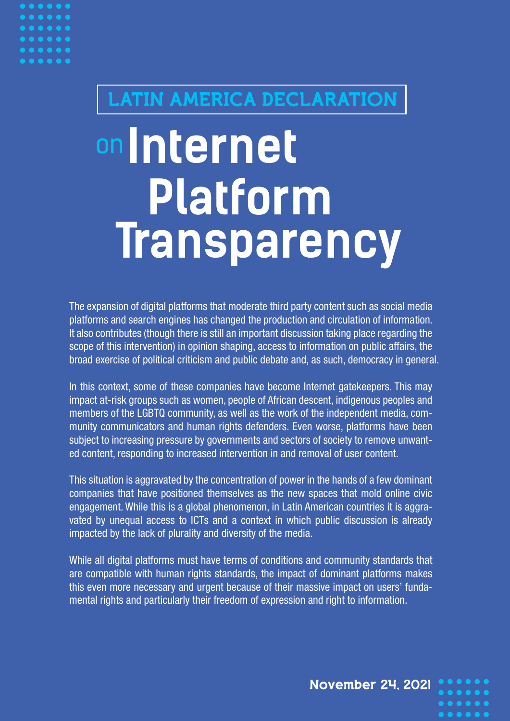## LATIN AMERICA DECLARATION

# **Internet Platform** on **Transparency**

The expansion of digital platforms that moderate third party content such as social media platforms and search engines has changed the production and circulation of information. It also contributes (though there is still an important discussion taking place regarding the scope of this intervention) in opinion shaping, access to information on public affairs, the broad exercise of political criticism and public debate and, as such, democracy in general.

In this context, some of these companies have become Internet gatekeepers. This may impact at-risk groups such as women, people of African descent, indigenous peoples and members of the LGBTQ community, as well as the work of the independent media, community communicators and human rights defenders. Even worse, platforms have been subject to increasing pressure by governments and sectors of society to remove unwanted content, responding to increased intervention in and removal of user content.

This situation is aggravated by the concentration of power in the hands of a few dominant companies that have positioned themselves as the new spaces that mold online civic engagement. While this is a global phenomenon, in Latin American countries it is aggravated by unequal access to ICTs and a context in which public discussion is already impacted by the lack of plurality and diversity of the media.

While all digital platforms must have terms of conditions and community standards that are compatible with human rights standards, the impact of dominant platforms makes this even more necessary and urgent because of their massive impact on users' fundamental rights and particularly their freedom of expression and right to information.

November 24, 2021